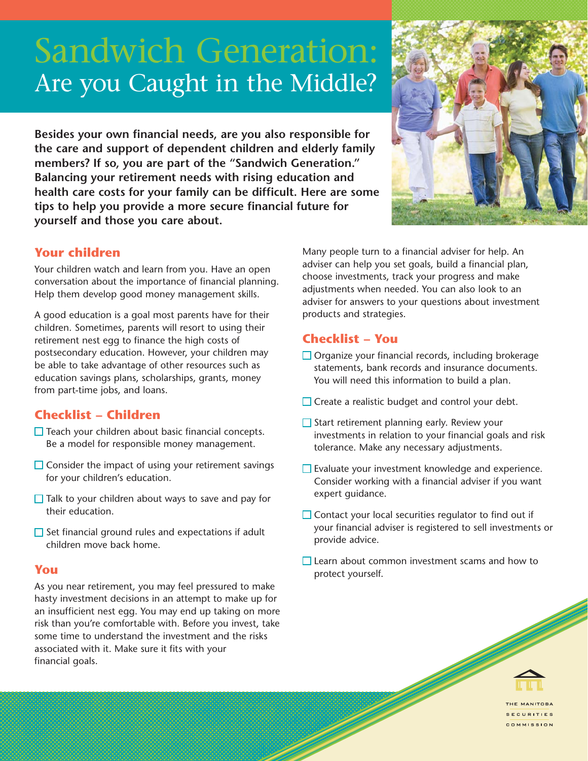# Sandwich Generation: Are you Caught in the Middle?

**Besides your own financial needs, are you also responsible for the care and support of dependent children and elderly family members? If so, you are part of the "Sandwich Generation." Balancing your retirement needs with rising education and health care costs for your family can be difficult. Here are some tips to help you provide a more secure financial future for yourself and those you care about.**



## **Your children**

Your children watch and learn from you. Have an open conversation about the importance of financial planning. Help them develop good money management skills.

A good education is a goal most parents have for their children. Sometimes, parents will resort to using their retirement nest egg to finance the high costs of postsecondary education. However, your children may be able to take advantage of other resources such as education savings plans, scholarships, grants, money from part-time jobs, and loans.

## **Checklist – Children**

- $\Box$  Teach your children about basic financial concepts. Be a model for responsible money management.
- $\Box$  Consider the impact of using your retirement savings for your children's education.
- $\Box$  Talk to your children about ways to save and pay for their education.
- $\Box$  Set financial ground rules and expectations if adult children move back home.

#### **You**

As you near retirement, you may feel pressured to make hasty investment decisions in an attempt to make up for an insufficient nest egg. You may end up taking on more risk than you're comfortable with. Before you invest, take some time to understand the investment and the risks associated with it. Make sure it fits with your financial goals.

Many people turn to a financial adviser for help. An adviser can help you set goals, build a financial plan, choose investments, track your progress and make adjustments when needed. You can also look to an adviser for answers to your questions about investment products and strategies.

# **Checklist – You**

- $\Box$  Organize your financial records, including brokerage statements, bank records and insurance documents. You will need this information to build a plan.
- $\Box$  Create a realistic budget and control your debt.
- $\Box$  Start retirement planning early. Review your investments in relation to your financial goals and risk tolerance. Make any necessary adjustments.
- $\Box$  Evaluate your investment knowledge and experience. Consider working with a financial adviser if you want expert guidance.
- $\Box$  Contact your local securities regulator to find out if your financial adviser is registered to sell investments or provide advice.
- Learn about common investment scams and how to protect yourself.



COMMISSION